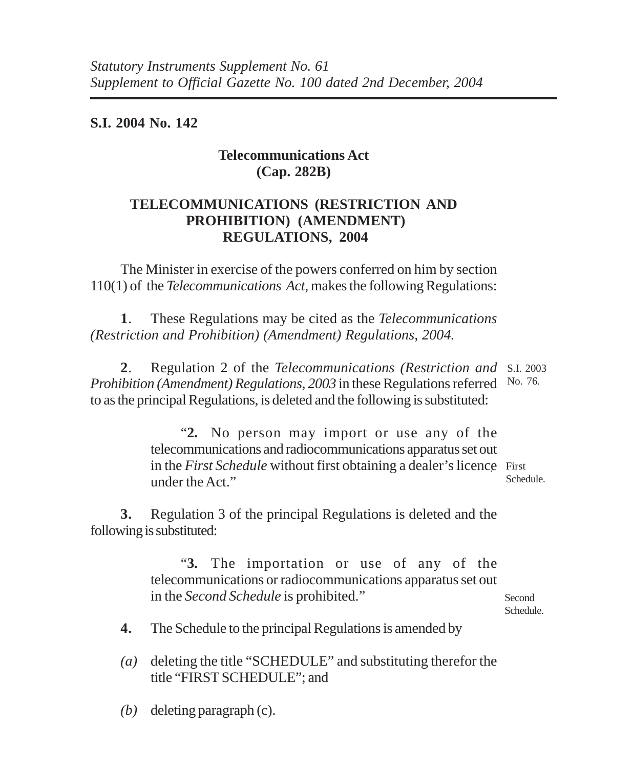**S.I. 2004 No. 142**

## **Telecommunications Act (Cap. 282B)**

## **TELECOMMUNICATIONS (RESTRICTION AND PROHIBITION) (AMENDMENT) REGULATIONS, 2004**

The Minister in exercise of the powers conferred on him by section 110(1) of the *Telecommunications Act,* makes the following Regulations:

**1**. These Regulations may be cited as the *Telecommunications (Restriction and Prohibition) (Amendment) Regulations, 2004.*

**2**. Regulation 2 of the *Telecommunications (Restriction and* S.I. 2003 Prohibition (Amendment) Regulations, 2003 in these Regulations referred No. 76. to as the principal Regulations, is deleted and the following is substituted:

> "**2.** No person may import or use any of the telecommunications and radiocommunications apparatus set out in the *First Schedule* without first obtaining a dealer's licence First under the Act." Schedule.

**3.** Regulation 3 of the principal Regulations is deleted and the following is substituted:

> "**3.** The importation or use of any of the telecommunications or radiocommunications apparatus set out in the *Second Schedule* is prohibited."

**Second** Schedule.

**4.** The Schedule to the principal Regulations is amended by

*(a)* deleting the title "SCHEDULE" and substituting therefor the title "FIRST SCHEDULE"; and

*(b)* deleting paragraph (c).